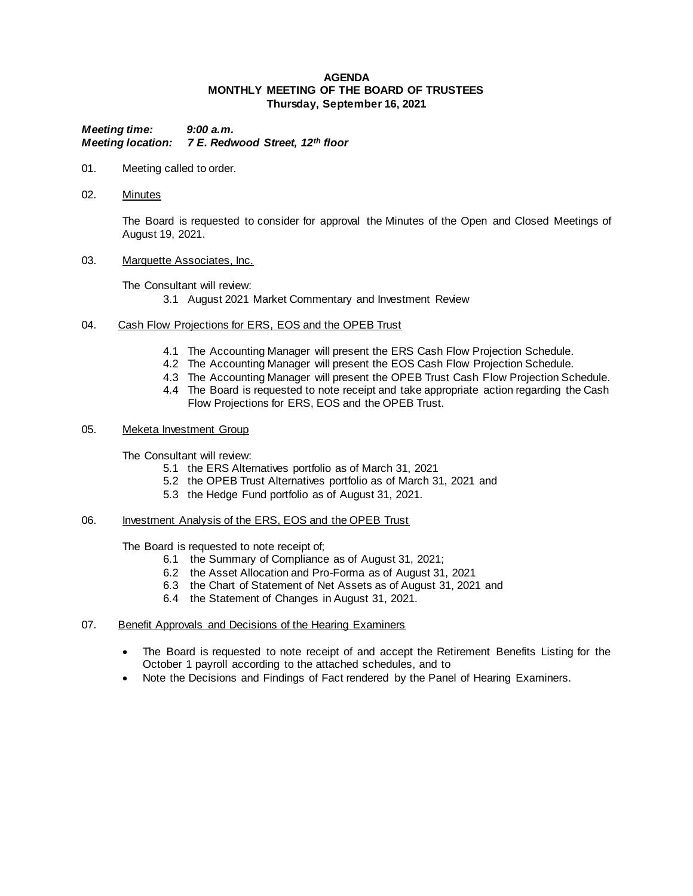## **AGENDA MONTHLY MEETING OF THE BOARD OF TRUSTEES Thursday, September 16, 2021**

*Meeting time: 9:00 a.m. Meeting location: 7 E. Redwood Street, 12th floor*

- 01. Meeting called to order.
- 02. Minutes

The Board is requested to consider for approval the Minutes of the Open and Closed Meetings of August 19, 2021.

03. Marquette Associates, Inc.

The Consultant will review:

- 3.1 August 2021 Market Commentary and Investment Review
- 04. Cash Flow Projections for ERS, EOS and the OPEB Trust
	- 4.1 The Accounting Manager will present the ERS Cash Flow Projection Schedule.
	- 4.2 The Accounting Manager will present the EOS Cash Flow Projection Schedule.
	- 4.3 The Accounting Manager will present the OPEB Trust Cash Flow Projection Schedule.
	- 4.4 The Board is requested to note receipt and take appropriate action regarding the Cash Flow Projections for ERS, EOS and the OPEB Trust.
- 05. Meketa Investment Group

The Consultant will review:

- 5.1 the ERS Alternatives portfolio as of March 31, 2021
- 5.2 the OPEB Trust Alternatives portfolio as of March 31, 2021 and
- 5.3 the Hedge Fund portfolio as of August 31, 2021.
- 06. Investment Analysis of the ERS, EOS and the OPEB Trust

The Board is requested to note receipt of;

- 6.1 the Summary of Compliance as of August 31, 2021;
- 6.2 the Asset Allocation and Pro-Forma as of August 31, 2021
- 6.3 the Chart of Statement of Net Assets as of August 31, 2021 and
- 6.4 the Statement of Changes in August 31, 2021.
- 07. Benefit Approvals and Decisions of the Hearing Examiners
	- The Board is requested to note receipt of and accept the Retirement Benefits Listing for the October 1 payroll according to the attached schedules, and to
	- Note the Decisions and Findings of Fact rendered by the Panel of Hearing Examiners.